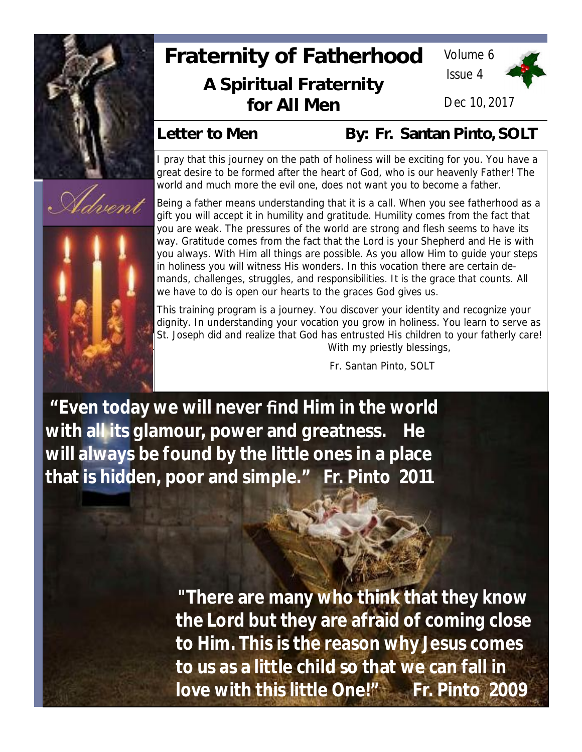

, Udvens

# **Fraternity of Fatherhood A Spiritual Fraternity for All Men**

Volume 6 Issue 4



Dec 10, 2017

Letter to Men By: Fr. Santan Pinto, SOLT

I pray that this journey on the path of holiness will be exciting for you. You have a great desire to be formed after the heart of God, who is our heavenly Father! The world and much more the evil one, does not want you to become a father.

Being a father means understanding that it is a call. When you see fatherhood as a gift you will accept it in humility and gratitude. Humility comes from the fact that you are weak. The pressures of the world are strong and flesh seems to have its way. Gratitude comes from the fact that the Lord is your Shepherd and He is with you always. With Him all things are possible. As you allow Him to guide your steps in holiness you will witness His wonders. In this vocation there are certain demands, challenges, struggles, and responsibilities. It is the grace that counts. All we have to do is open our hearts to the graces God gives us.

This training program is a journey. You discover your identity and recognize your dignity. In understanding your vocation you grow in holiness. You learn to serve as St. Joseph did and realize that God has entrusted His children to your fatherly care! With my priestly blessings,

Fr. Santan Pinto, SOLT

**"Even today we will never find Him in the world with all its glamour, power and greatness. He will always be found by the little ones in a place that is hidden, poor and simple." Fr. Pinto 2011**

> **"There are many who think that they know the Lord but they are afraid of coming close to Him. This is the reason why Jesus comes to us as a little child so that we can fall in** love with this little One!" Fr. Pinto 2009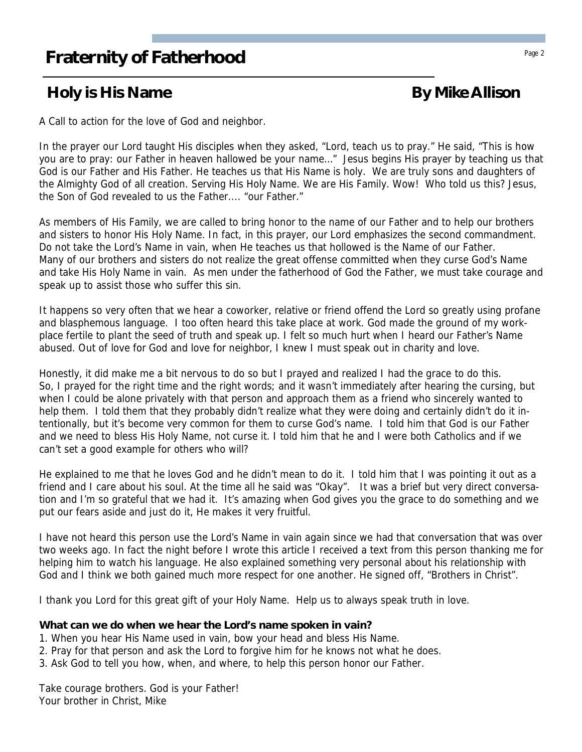## **Fraternity of Fatherhood** Page 2 **Fraternity of Fatherhood**

## **Holy is His Name By Mike Allison**

A Call to action for the love of God and neighbor.

In the prayer our Lord taught His disciples when they asked, "Lord, teach us to pray." He said, "This is how you are to pray: our Father in heaven hallowed be your name…" Jesus begins His prayer by teaching us that God is our Father and His Father. He teaches us that His Name is holy. We are truly sons and daughters of the Almighty God of all creation. Serving His Holy Name. We are His Family. Wow! Who told us this? Jesus, the Son of God revealed to us the Father.... "our Father."

As members of His Family, we are called to bring honor to the name of our Father and to help our brothers and sisters to honor His Holy Name. In fact, in this prayer, our Lord emphasizes the second commandment. Do not take the Lord's Name in vain, when He teaches us that hollowed is the Name of our Father. Many of our brothers and sisters do not realize the great offense committed when they curse God's Name and take His Holy Name in vain. As men under the fatherhood of God the Father, we must take courage and speak up to assist those who suffer this sin.

It happens so very often that we hear a coworker, relative or friend offend the Lord so greatly using profane and blasphemous language. I too often heard this take place at work. God made the ground of my workplace fertile to plant the seed of truth and speak up. I felt so much hurt when I heard our Father's Name abused. Out of love for God and love for neighbor, I knew I must speak out in charity and love.

Honestly, it did make me a bit nervous to do so but I prayed and realized I had the grace to do this. So, I prayed for the right time and the right words; and it wasn't immediately after hearing the cursing, but when I could be alone privately with that person and approach them as a friend who sincerely wanted to help them. I told them that they probably didn't realize what they were doing and certainly didn't do it intentionally, but it's become very common for them to curse God's name. I told him that God is our Father and we need to bless His Holy Name, not curse it. I told him that he and I were both Catholics and if we can't set a good example for others who will?

He explained to me that he loves God and he didn't mean to do it. I told him that I was pointing it out as a friend and I care about his soul. At the time all he said was "Okay". It was a brief but very direct conversation and I'm so grateful that we had it. It's amazing when God gives you the grace to do something and we put our fears aside and just do it, He makes it very fruitful.

I have not heard this person use the Lord's Name in vain again since we had that conversation that was over two weeks ago. In fact the night before I wrote this article I received a text from this person thanking me for helping him to watch his language. He also explained something very personal about his relationship with God and I think we both gained much more respect for one another. He signed off, "Brothers in Christ".

I thank you Lord for this great gift of your Holy Name. Help us to always speak truth in love.

**What can we do when we hear the Lord's name spoken in vain?**

- 1. When you hear His Name used in vain, bow your head and bless His Name.
- 2. Pray for that person and ask the Lord to forgive him for he knows not what he does.
- 3. Ask God to tell you how, when, and where, to help this person honor our Father.

Take courage brothers. God is your Father! Your brother in Christ, Mike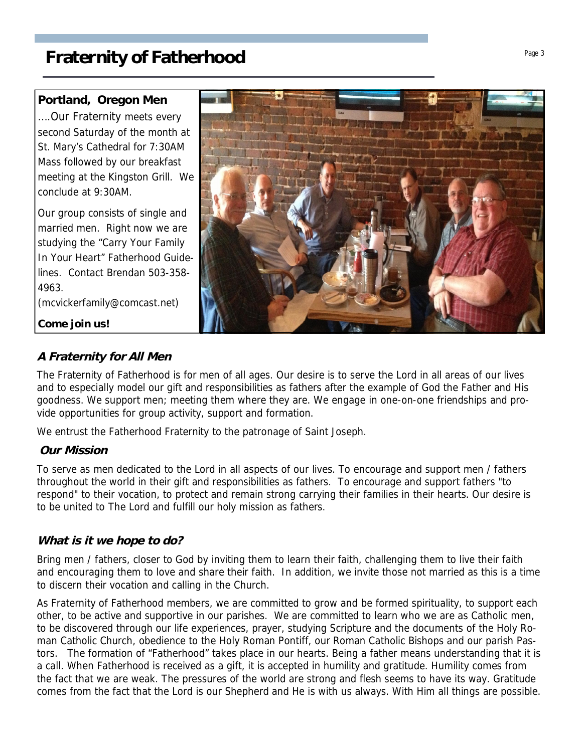**Portland, Oregon Men** ….Our Fraternity meets every second Saturday of the month at St. Mary's Cathedral for 7:30AM Mass followed by our breakfast meeting at the Kingston Grill. We conclude at 9:30AM.

Our group consists of single and married men. Right now we are studying the "Carry Your Family In Your Heart" Fatherhood Guidelines. Contact Brendan 503-358- 4963.

(mcvickerfamily@comcast.net)

**Come join us!**

### **A Fraternity for All Men**

The Fraternity of Fatherhood is for men of all ages. Our desire is to serve the Lord in all areas of our lives and to especially model our gift and responsibilities as fathers after the example of God the Father and His goodness. We support men; meeting them where they are. We engage in one-on-one friendships and provide opportunities for group activity, support and formation.

We entrust the Fatherhood Fraternity to the patronage of Saint Joseph.

#### **Our Mission**

To serve as men dedicated to the Lord in all aspects of our lives. To encourage and support men / fathers throughout the world in their gift and responsibilities as fathers. To encourage and support fathers "to respond" to their vocation, to protect and remain strong carrying their families in their hearts. Our desire is to be united to The Lord and fulfill our holy mission as fathers.

#### **What is it we hope to do?**

Bring men / fathers, closer to God by inviting them to learn their faith, challenging them to live their faith and encouraging them to love and share their faith. In addition, we invite those not married as this is a time to discern their vocation and calling in the Church.

As Fraternity of Fatherhood members, we are committed to grow and be formed spirituality, to support each other, to be active and supportive in our parishes. We are committed to learn who we are as Catholic men, to be discovered through our life experiences, prayer, studying Scripture and the documents of the Holy Roman Catholic Church, obedience to the Holy Roman Pontiff, our Roman Catholic Bishops and our parish Pastors. The formation of "Fatherhood" takes place in our hearts. Being a father means understanding that it is a call. When Fatherhood is received as a gift, it is accepted in humility and gratitude. Humility comes from the fact that we are weak. The pressures of the world are strong and flesh seems to have its way. Gratitude comes from the fact that the Lord is our Shepherd and He is with us always. With Him all things are possible.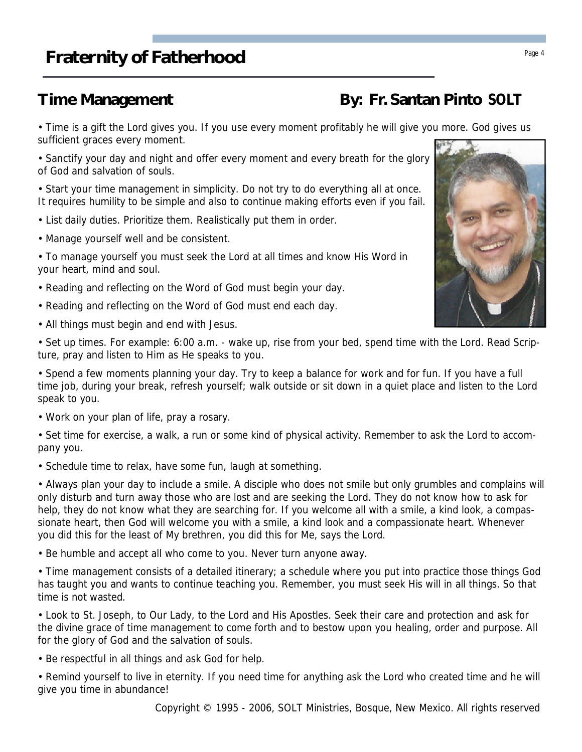• Time is a gift the Lord gives you. If you use every moment profitably he will give you more. God gives us sufficient graces every moment.

• Sanctify your day and night and offer every moment and every breath for the glory of God and salvation of souls.

• Start your time management in simplicity. Do not try to do everything all at once. It requires humility to be simple and also to continue making efforts even if you fail.

- List daily duties. Prioritize them. Realistically put them in order.
- Manage yourself well and be consistent.

• To manage yourself you must seek the Lord at all times and know His Word in your heart, mind and soul.

- Reading and reflecting on the Word of God must begin your day.
- Reading and reflecting on the Word of God must end each day.
- All things must begin and end with Jesus.

• Set up times. For example: 6:00 a.m. - wake up, rise from your bed, spend time with the Lord. Read Scripture, pray and listen to Him as He speaks to you.

• Spend a few moments planning your day. Try to keep a balance for work and for fun. If you have a full time job, during your break, refresh yourself; walk outside or sit down in a quiet place and listen to the Lord speak to you.

• Work on your plan of life, pray a rosary.

• Set time for exercise, a walk, a run or some kind of physical activity. Remember to ask the Lord to accompany you.

• Schedule time to relax, have some fun, laugh at something.

• Always plan your day to include a smile. A disciple who does not smile but only grumbles and complains will only disturb and turn away those who are lost and are seeking the Lord. They do not know how to ask for help, they do not know what they are searching for. If you welcome all with a smile, a kind look, a compassionate heart, then God will welcome you with a smile, a kind look and a compassionate heart. Whenever you did this for the least of My brethren, you did this for Me, says the Lord.

• Be humble and accept all who come to you. Never turn anyone away.

• Time management consists of a detailed itinerary; a schedule where you put into practice those things God has taught you and wants to continue teaching you. Remember, you must seek His will in all things. So that time is not wasted.

• Look to St. Joseph, to Our Lady, to the Lord and His Apostles. Seek their care and protection and ask for the divine grace of time management to come forth and to bestow upon you healing, order and purpose. All for the glory of God and the salvation of souls.

• Be respectful in all things and ask God for help.

• Remind yourself to live in eternity. If you need time for anything ask the Lord who created time and he will give you time in abundance!

# **Time Management** By: Fr. Santan Pinto SOLT

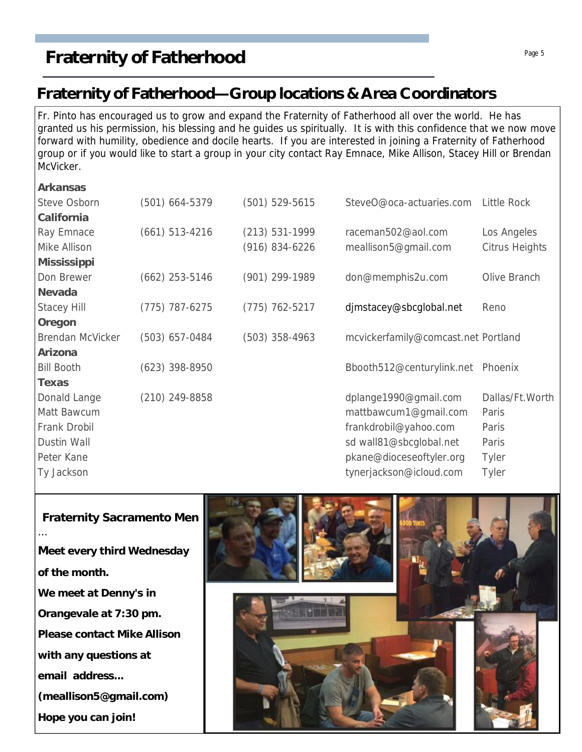## **Fraternity of Fatherhood—Group locations & Area Coordinators**

Fr. Pinto has encouraged us to grow and expand the Fraternity of Fatherhood all over the world. He has granted us his permission, his blessing and he guides us spiritually. It is with this confidence that we now move forward with humility, obedience and docile hearts. If you are interested in joining a Fraternity of Fatherhood group or if you would like to start a group in your city contact Ray Emnace, Mike Allison, Stacey Hill or Brendan McVicker.

| Arkansas           |                    |                    |                                     |                    |
|--------------------|--------------------|--------------------|-------------------------------------|--------------------|
| Steve Osborn       | $(501)$ 664-5379   | $(501) 529 - 5615$ | SteveO@oca-actuaries.com            | <b>Little Rock</b> |
| California         |                    |                    |                                     |                    |
| Ray Emnace         | $(661) 513 - 4216$ | $(213) 531 - 1999$ | raceman502@aol.com                  | Los Angeles        |
| Mike Allison       |                    | (916) 834-6226     | meallison5@gmail.com                | Citrus Heights     |
| Mississippi        |                    |                    |                                     |                    |
| Don Brewer         | $(662)$ 253-5146   | (901) 299-1989     | don@memphis2u.com                   | Olive Branch       |
| Nevada             |                    |                    |                                     |                    |
| <b>Stacey Hill</b> | $(775)$ 787-6275   | $(775)$ 762-5217   | djmstacey@sbcglobal.net             | Reno               |
| Oregon             |                    |                    |                                     |                    |
| Brendan McVicker   | (503) 657-0484     | $(503)$ 358-4963   | mcvickerfamily@comcast.net Portland |                    |
| Arizona            |                    |                    |                                     |                    |
| <b>Bill Booth</b>  | $(623)$ 398-8950   |                    | Bbooth512@centurylink.net Phoenix   |                    |
| Texas              |                    |                    |                                     |                    |
| Donald Lange       | $(210)$ 249-8858   |                    | dplange1990@gmail.com               | Dallas/Ft.Worth    |
| Matt Bawcum        |                    |                    | mattbawcum1@gmail.com               | Paris              |
| Frank Drobil       |                    |                    | frankdrobil@yahoo.com               | Paris              |
| Dustin Wall        |                    |                    | sd wall81@sbcglobal.net             | Paris              |
| Peter Kane         |                    |                    | pkane@dioceseoftyler.org            | <b>Tyler</b>       |
| Ty Jackson         |                    |                    | tynerjackson@icloud.com             | Tyler              |
|                    |                    |                    |                                     |                    |



**Fraternity Sacramento Men** …

**Meet every third Wednesday of the month. We meet at Denny's in**

**Orangevale at 7:30 pm.**

**Please contact Mike Allison**

**with any questions at**

**email address...**

**(meallison5@gmail.com)**

**Hope you can join!**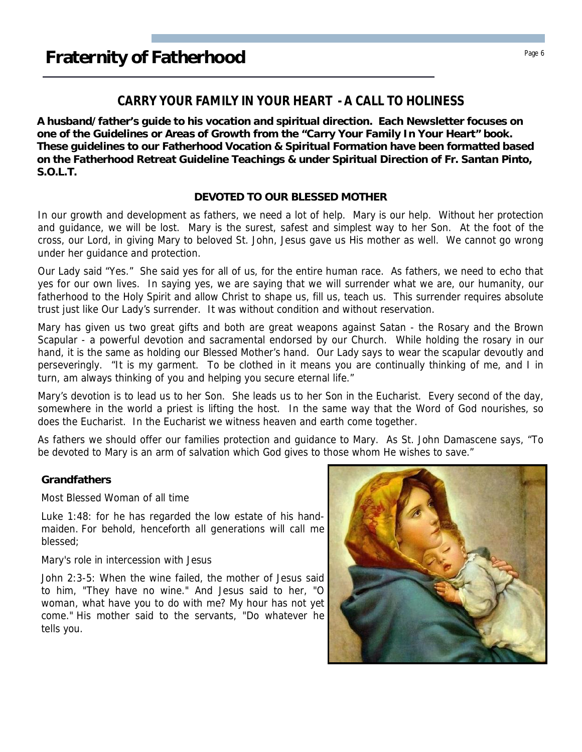## **Fraternity of Fatherhood** Page 6 **Page 6**

#### **CARRY YOUR FAMILY IN YOUR HEART - A CALL TO HOLINESS**

**A husband/father's guide to his vocation and spiritual direction. Each Newsletter focuses on one of the Guidelines or Areas of Growth from the "Carry Your Family In Your Heart" book. These guidelines to our Fatherhood Vocation & Spiritual Formation have been formatted based on the Fatherhood Retreat Guideline Teachings & under Spiritual Direction of Fr. Santan Pinto, S.O.L.T.**

#### **DEVOTED TO OUR BLESSED MOTHER**

In our growth and development as fathers, we need a lot of help. Mary is our help. Without her protection and guidance, we will be lost. Mary is the surest, safest and simplest way to her Son. At the foot of the cross, our Lord, in giving Mary to beloved St. John, Jesus gave us His mother as well. We cannot go wrong under her guidance and protection.

Our Lady said "Yes." She said yes for all of us, for the entire human race. As fathers, we need to echo that yes for our own lives. In saying yes, we are saying that we will surrender what we are, our humanity, our fatherhood to the Holy Spirit and allow Christ to shape us, fill us, teach us. This surrender requires absolute trust just like Our Lady's surrender. It was without condition and without reservation.

Mary has given us two great gifts and both are great weapons against Satan - the Rosary and the Brown Scapular - a powerful devotion and sacramental endorsed by our Church. While holding the rosary in our hand, it is the same as holding our Blessed Mother's hand. Our Lady says to wear the scapular devoutly and perseveringly. "It is my garment. To be clothed in it means you are continually thinking of me, and I in turn, am always thinking of you and helping you secure eternal life."

Mary's devotion is to lead us to her Son. She leads us to her Son in the Eucharist. Every second of the day, somewhere in the world a priest is lifting the host. In the same way that the Word of God nourishes, so does the Eucharist. In the Eucharist we witness heaven and earth come together.

As fathers we should offer our families protection and guidance to Mary. As St. John Damascene says, "To be devoted to Mary is an arm of salvation which God gives to those whom He wishes to save."

#### **Grandfathers**

Most Blessed Woman of all time

Luke 1:48: for he has regarded the low estate of his handmaiden. For behold, henceforth all generations will call me blessed;

#### Mary's role in intercession with Jesus

John 2:3-5: When the wine failed, the mother of Jesus said to him, "They have no wine." And Jesus said to her, "O woman, what have you to do with me? My hour has not yet come." His mother said to the servants, "Do whatever he tells you.

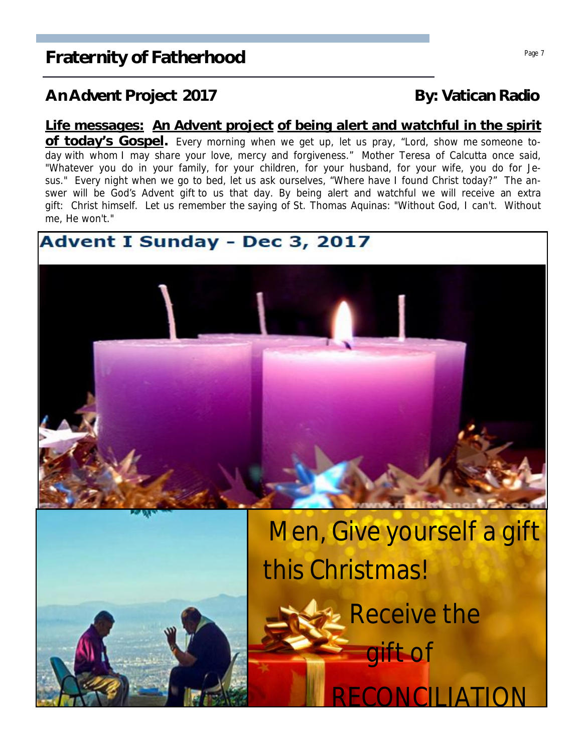### An Advent Project 2017 **By: Vatican Radio**

#### **Life messages: An Advent project of being alert and watchful in the spirit**

**of today's Gospel.** Every morning when we get up, let us pray, "Lord, show me someone today with whom I may share your love, mercy and forgiveness." Mother Teresa of Calcutta once said, "Whatever you do in your family, for your children, for your husband, for your wife, you do for Jesus." Every night when we go to bed, let us ask ourselves, "Where have I found Christ today?" The answer will be God's Advent gift to us that day. By being alert and watchful we will receive an extra gift: Christ himself. Let us remember the saying of St. Thomas Aquinas: "Without God, I can't. Without me, He won't."

## **Advent I Sunday - Dec 3, 2017**





 Men, Give yourself a gift this Christmas!

**RECONCILLA** 

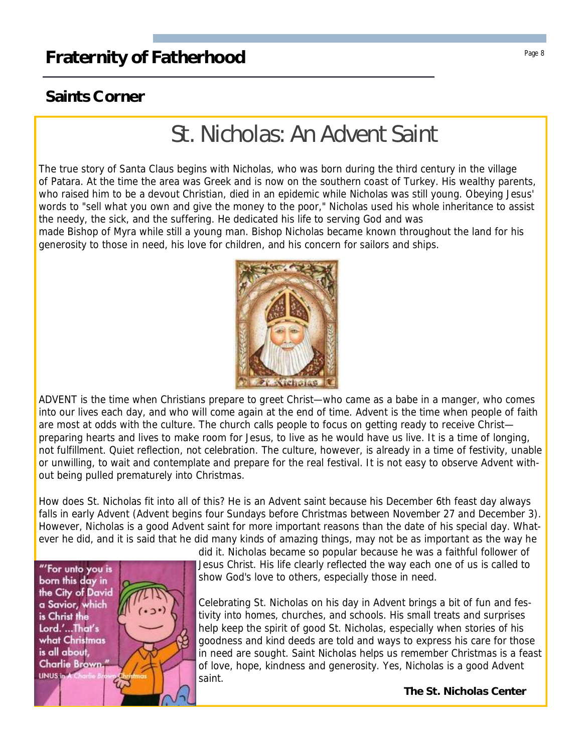### **Saints Corner**

# St. Nicholas: An Advent Saint

The true story of Santa Claus begins with Nicholas, who was born during the third century in the village of Patara. At the time the area was Greek and is now on the southern coast of Turkey. His wealthy parents, who raised him to be a devout Christian, died in an epidemic while Nicholas was still young. Obeying Jesus' words to "sell what you own and give the money to the poor," Nicholas used his whole inheritance to assist the needy, the sick, and the suffering. He dedicated his life to serving God and was

made Bishop of Myra while still a young man. Bishop Nicholas became known throughout the land for his generosity to those in need, his love for children, and his concern for sailors and ships.



ADVENT is the time when Christians prepare to greet Christ—who came as a babe in a manger, who comes into our lives each day, and who will come again at the end of time. Advent is the time when people of faith are most at odds with the culture. The church calls people to focus on getting ready to receive Christ preparing hearts and lives to make room for Jesus, to live as he would have us live. It is a time of longing, not fulfillment. Quiet reflection, not celebration. The culture, however, is already in a time of festivity, unable or unwilling, to wait and contemplate and prepare for the real festival. It is not easy to observe Advent without being pulled prematurely into Christmas.

How does St. Nicholas fit into all of this? He is an Advent saint because his December 6th feast day always falls in early Advent (Advent begins four Sundays before Christmas between November 27 and December 3). However, Nicholas is a good Advent saint for more important reasons than the date of his special day. Whatever he did, and it is said that he did many kinds of amazing things, may not be as important as the way he



did it. Nicholas became so popular because he was a faithful follower of Jesus Christ. His life clearly reflected the way each one of us is called to show God's love to others, especially those in need.

Celebrating St. Nicholas on his day in Advent brings a bit of fun and festivity into homes, churches, and schools. His small treats and surprises help keep the spirit of good St. Nicholas, especially when stories of his goodness and kind deeds are told and ways to express his care for those in need are sought. Saint Nicholas helps us remember Christmas is a feast of love, hope, kindness and generosity. Yes, Nicholas is a good Advent saint.

**The St. Nicholas Center**